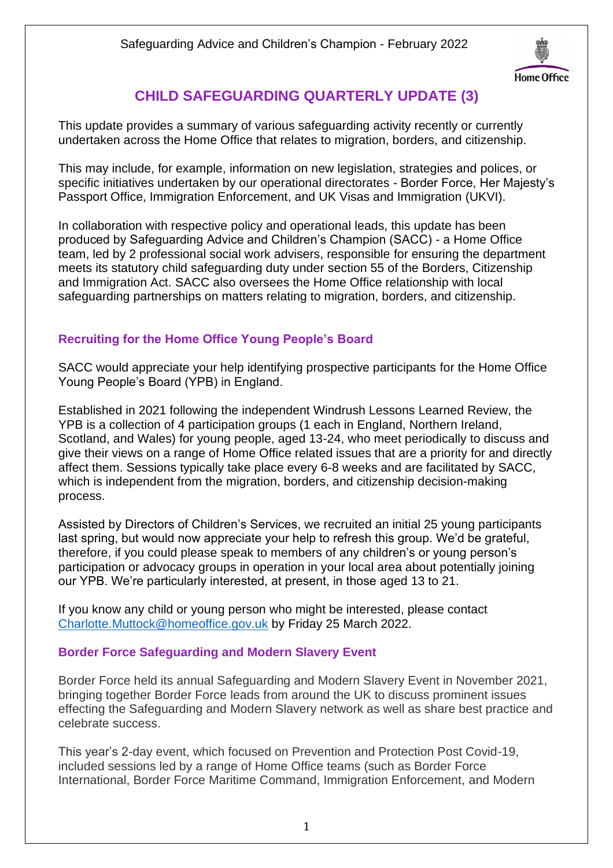

## **CHILD SAFEGUARDING QUARTERLY UPDATE (3)**

This update provides a summary of various safeguarding activity recently or currently undertaken across the Home Office that relates to migration, borders, and citizenship.

This may include, for example, information on new legislation, strategies and polices, or specific initiatives undertaken by our operational directorates - Border Force, Her Majesty's Passport Office, Immigration Enforcement, and UK Visas and Immigration (UKVI).

In collaboration with respective policy and operational leads, this update has been produced by Safeguarding Advice and Children's Champion (SACC) - a Home Office team, led by 2 professional social work advisers, responsible for ensuring the department meets its statutory child safeguarding duty under section 55 of the Borders, Citizenship and Immigration Act. SACC also oversees the Home Office relationship with local safeguarding partnerships on matters relating to migration, borders, and citizenship.

## **Recruiting for the Home Office Young People's Board**

SACC would appreciate your help identifying prospective participants for the Home Office Young People's Board (YPB) in England.

Established in 2021 following the independent Windrush Lessons Learned Review, the YPB is a collection of 4 participation groups (1 each in England, Northern Ireland, Scotland, and Wales) for young people, aged 13-24, who meet periodically to discuss and give their views on a range of Home Office related issues that are a priority for and directly affect them. Sessions typically take place every 6-8 weeks and are facilitated by SACC, which is independent from the migration, borders, and citizenship decision-making process.

Assisted by Directors of Children's Services, we recruited an initial 25 young participants last spring, but would now appreciate your help to refresh this group. We'd be grateful, therefore, if you could please speak to members of any children's or young person's participation or advocacy groups in operation in your local area about potentially joining our YPB. We're particularly interested, at present, in those aged 13 to 21.

If you know any child or young person who might be interested, please contact [Charlotte.Muttock@homeoffice.gov.uk](mailto:Charlotte.Muttock@homeoffice.gov.uk) by Friday 25 March 2022.

## **Border Force Safeguarding and Modern Slavery Event**

Border Force held its annual Safeguarding and Modern Slavery Event in November 2021, bringing together Border Force leads from around the UK to discuss prominent issues effecting the Safeguarding and Modern Slavery network as well as share best practice and celebrate success.

This year's 2-day event, which focused on Prevention and Protection Post Covid-19, included sessions led by a range of Home Office teams (such as Border Force International, Border Force Maritime Command, Immigration Enforcement, and Modern